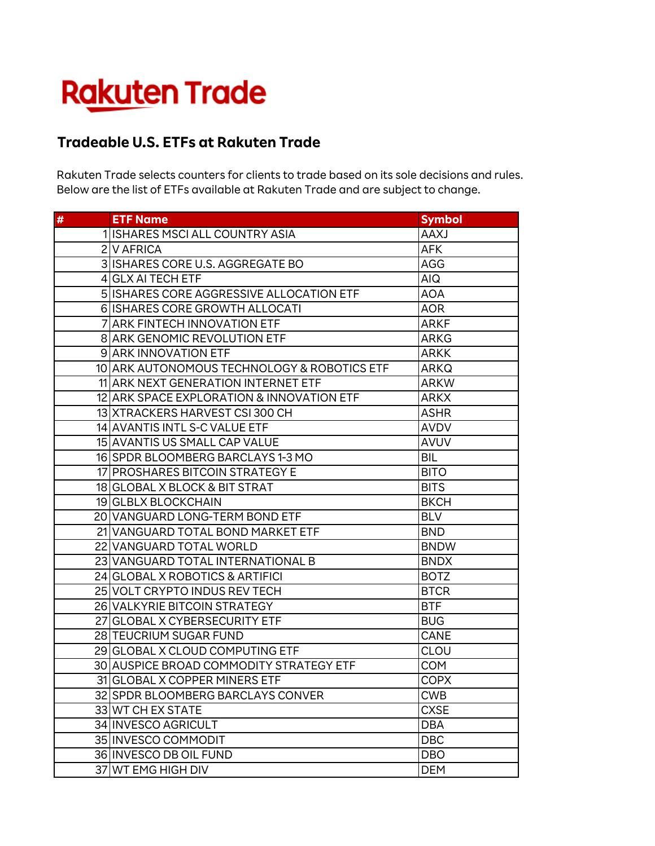## **Rakuten Trade**

## **Tradeable U.S. ETFs at Rakuten Trade**

Rakuten Trade selects counters for clients to trade based on its sole decisions and rules. Below are the list of ETFs available at Rakuten Trade and are subject to change.

| $\pmb{\#}$ | <b>ETF Name</b>                             | <b>Symbol</b> |
|------------|---------------------------------------------|---------------|
|            | 1 ISHARES MSCI ALL COUNTRY ASIA             | <b>AAXJ</b>   |
|            | 2 V AFRICA                                  | <b>AFK</b>    |
|            | 3 ISHARES CORE U.S. AGGREGATE BO            | <b>AGG</b>    |
|            | 4 GLX AI TECH ETF                           | AIQ           |
|            | 5 ISHARES CORE AGGRESSIVE ALLOCATION ETF    | <b>AOA</b>    |
|            | 6 ISHARES CORE GROWTH ALLOCATI              | <b>AOR</b>    |
|            | 7 ARK FINTECH INNOVATION ETF                | <b>ARKF</b>   |
|            | <b>8 ARK GENOMIC REVOLUTION ETF</b>         | <b>ARKG</b>   |
|            | <b>9 ARK INNOVATION ETF</b>                 | <b>ARKK</b>   |
|            | 10 ARK AUTONOMOUS TECHNOLOGY & ROBOTICS ETF | <b>ARKQ</b>   |
|            | 11 ARK NEXT GENERATION INTERNET ETF         | <b>ARKW</b>   |
|            | 12 ARK SPACE EXPLORATION & INNOVATION ETF   | <b>ARKX</b>   |
|            | 13 XTRACKERS HARVEST CSI 300 CH             | <b>ASHR</b>   |
|            | 14 AVANTIS INTL S-C VALUE ETF               | <b>AVDV</b>   |
|            | 15 AVANTIS US SMALL CAP VALUE               | <b>AVUV</b>   |
|            | 16 SPDR BLOOMBERG BARCLAYS 1-3 MO           | BIL           |
|            | 17 PROSHARES BITCOIN STRATEGY E             | <b>BITO</b>   |
|            | 18 GLOBAL X BLOCK & BIT STRAT               | <b>BITS</b>   |
|            | 19 GLBLX BLOCKCHAIN                         | <b>BKCH</b>   |
|            | 20 VANGUARD LONG-TERM BOND ETF              | <b>BLV</b>    |
|            | 21 VANGUARD TOTAL BOND MARKET ETF           | <b>BND</b>    |
|            | 22 VANGUARD TOTAL WORLD                     | <b>BNDW</b>   |
|            | 23 VANGUARD TOTAL INTERNATIONAL B           | <b>BNDX</b>   |
|            | 24 GLOBAL X ROBOTICS & ARTIFICI             | <b>BOTZ</b>   |
|            | 25 VOLT CRYPTO INDUS REV TECH               | <b>BTCR</b>   |
|            | 26 VALKYRIE BITCOIN STRATEGY                | <b>BTF</b>    |
|            | 27 GLOBAL X CYBERSECURITY ETF               | <b>BUG</b>    |
|            | <b>28 TEUCRIUM SUGAR FUND</b>               | <b>CANE</b>   |
|            | 29 GLOBAL X CLOUD COMPUTING ETF             | CLOU          |
|            | 30 AUSPICE BROAD COMMODITY STRATEGY ETF     | <b>COM</b>    |
|            | 31 GLOBAL X COPPER MINERS ETF               | <b>COPX</b>   |
|            | 32 SPDR BLOOMBERG BARCLAYS CONVER           | <b>CWB</b>    |
|            | 33 WT CH EX STATE                           | <b>CXSE</b>   |
|            | 34 INVESCO AGRICULT                         | <b>DBA</b>    |
|            | 35 INVESCO COMMODIT                         | <b>DBC</b>    |
|            | 36 INVESCO DB OIL FUND                      | <b>DBO</b>    |
|            | 37 WT EMG HIGH DIV                          | <b>DEM</b>    |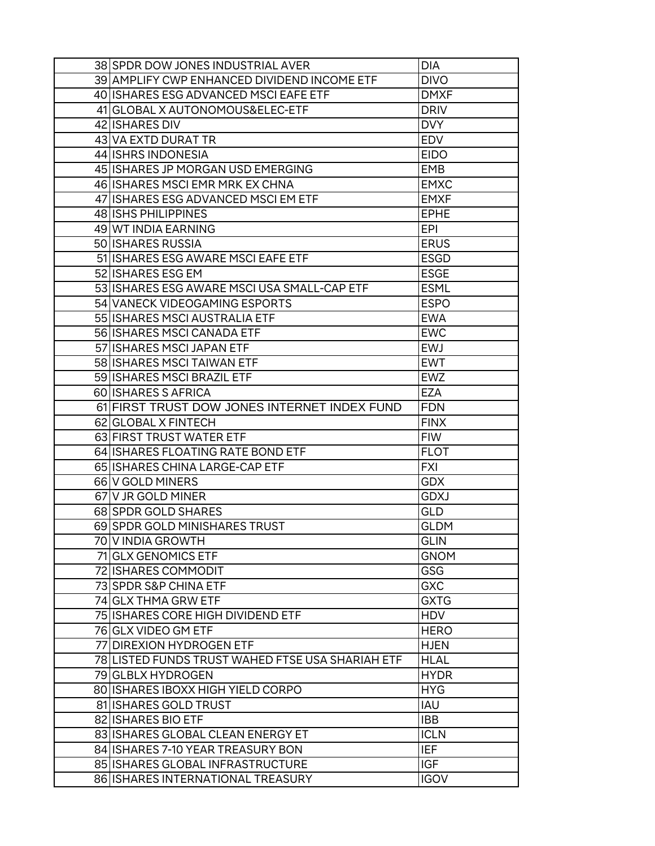| 38 SPDR DOW JONES INDUSTRIAL AVER                | <b>DIA</b>  |
|--------------------------------------------------|-------------|
| 39 AMPLIFY CWP ENHANCED DIVIDEND INCOME ETF      | <b>DIVO</b> |
| 40 ISHARES ESG ADVANCED MSCI EAFE ETF            | <b>DMXF</b> |
| 41 GLOBAL X AUTONOMOUS& ELEC-ETF                 | <b>DRIV</b> |
| 42 ISHARES DIV                                   | <b>DVY</b>  |
| 43 VA EXTD DURAT TR                              | <b>EDV</b>  |
| 44 ISHRS INDONESIA                               | <b>EIDO</b> |
| 45 ISHARES JP MORGAN USD EMERGING                | <b>EMB</b>  |
| 46 ISHARES MSCI EMR MRK EX CHNA                  | <b>EMXC</b> |
| 47 ISHARES ESG ADVANCED MSCI EM ETF              | <b>EMXF</b> |
| 48 ISHS PHILIPPINES                              | <b>EPHE</b> |
| 49 WT INDIA EARNING                              | <b>EPI</b>  |
| 50 ISHARES RUSSIA                                | <b>ERUS</b> |
| 51 ISHARES ESG AWARE MSCI EAFE ETF               | <b>ESGD</b> |
| 52 ISHARES ESG EM                                | <b>ESGE</b> |
| 53 ISHARES ESG AWARE MSCI USA SMALL-CAP ETF      | <b>ESML</b> |
| 54 VANECK VIDEOGAMING ESPORTS                    | <b>ESPO</b> |
| 55 ISHARES MSCI AUSTRALIA ETF                    | <b>EWA</b>  |
| 56 ISHARES MSCI CANADA ETF                       | <b>EWC</b>  |
| 57 ISHARES MSCI JAPAN ETF                        | <b>EWJ</b>  |
| 58 ISHARES MSCI TAIWAN ETF                       | <b>EWT</b>  |
| 59 ISHARES MSCI BRAZIL ETF                       | <b>EWZ</b>  |
| 60 ISHARES S AFRICA                              | <b>EZA</b>  |
| 61 FIRST TRUST DOW JONES INTERNET INDEX FUND     | <b>FDN</b>  |
| 62 GLOBAL X FINTECH                              | <b>FINX</b> |
| 63 FIRST TRUST WATER ETF                         | <b>FIW</b>  |
| 64 ISHARES FLOATING RATE BOND ETF                | <b>FLOT</b> |
| 65 ISHARES CHINA LARGE-CAP ETF                   | <b>FXI</b>  |
| 66 V GOLD MINERS                                 | <b>GDX</b>  |
| 67 V JR GOLD MINER                               | <b>GDXJ</b> |
| 68 SPDR GOLD SHARES                              | <b>GLD</b>  |
| 69 SPDR GOLD MINISHARES TRUST                    | <b>GLDM</b> |
| 70   V INDIA GROWTH                              | <b>GLIN</b> |
| 71 GLX GENOMICS ETF                              | <b>GNOM</b> |
| 72 ISHARES COMMODIT                              | <b>GSG</b>  |
| 73 SPDR S&P CHINA ETF                            | <b>GXC</b>  |
| 74 GLX THMA GRW ETF                              | <b>GXTG</b> |
| 75 ISHARES CORE HIGH DIVIDEND ETF                | <b>HDV</b>  |
| 76 GLX VIDEO GM ETF                              | <b>HERO</b> |
| 77 DIREXION HYDROGEN ETF                         | <b>HJEN</b> |
| 78 LISTED FUNDS TRUST WAHED FTSE USA SHARIAH ETF | <b>HLAL</b> |
| 79 GLBLX HYDROGEN                                | <b>HYDR</b> |
| 80 ISHARES IBOXX HIGH YIELD CORPO                | <b>HYG</b>  |
| 81 ISHARES GOLD TRUST                            | <b>IAU</b>  |
| 82 ISHARES BIO ETF                               | <b>IBB</b>  |
| 83 ISHARES GLOBAL CLEAN ENERGY ET                | <b>ICLN</b> |
| 84 ISHARES 7-10 YEAR TREASURY BON                | <b>IEF</b>  |
| 85 ISHARES GLOBAL INFRASTRUCTURE                 | <b>IGF</b>  |
| 86 ISHARES INTERNATIONAL TREASURY                | <b>IGOV</b> |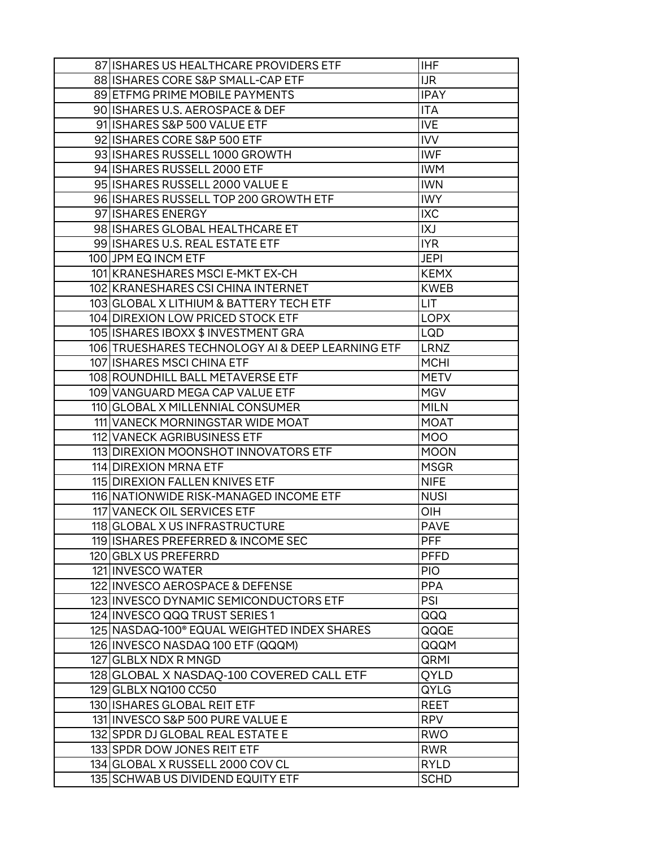| 87 ISHARES US HEALTHCARE PROVIDERS ETF                  | <b>IHF</b>  |
|---------------------------------------------------------|-------------|
| 88 ISHARES CORE S&P SMALL-CAP ETF                       | <b>IJR</b>  |
| 89 ETFMG PRIME MOBILE PAYMENTS                          | <b>IPAY</b> |
| 90 ISHARES U.S. AEROSPACE & DEF                         | <b>ITA</b>  |
| 91 ISHARES S&P 500 VALUE ETF                            | <b>IVE</b>  |
| 92 ISHARES CORE S&P 500 ETF                             | <b>IVV</b>  |
| 93 ISHARES RUSSELL 1000 GROWTH                          | <b>IWF</b>  |
| 94 ISHARES RUSSELL 2000 ETF                             | <b>IWM</b>  |
| 95 ISHARES RUSSELL 2000 VALUE E                         | <b>IWN</b>  |
| 96 ISHARES RUSSELL TOP 200 GROWTH ETF                   | <b>IWY</b>  |
| 97 ISHARES ENERGY                                       | <b>IXC</b>  |
| 98 ISHARES GLOBAL HEALTHCARE ET                         | IXJ         |
| 99 ISHARES U.S. REAL ESTATE ETF                         | <b>IYR</b>  |
| 100 JPM EQ INCM ETF                                     | <b>JEPI</b> |
| 101 KRANESHARES MSCI E-MKT EX-CH                        | <b>KEMX</b> |
| 102 KRANESHARES CSI CHINA INTERNET                      | <b>KWEB</b> |
| 103 GLOBAL X LITHIUM & BATTERY TECH ETF                 | LIT         |
| 104 DIREXION LOW PRICED STOCK ETF                       | <b>LOPX</b> |
| 105 ISHARES IBOXX \$ INVESTMENT GRA                     | LQD         |
| 106 TRUESHARES TECHNOLOGY AI & DEEP LEARNING ETF        | <b>LRNZ</b> |
| 107 ISHARES MSCI CHINA ETF                              | <b>MCHI</b> |
| 108 ROUNDHILL BALL METAVERSE ETF                        | <b>METV</b> |
| 109 VANGUARD MEGA CAP VALUE ETF                         | <b>MGV</b>  |
| 110 GLOBAL X MILLENNIAL CONSUMER                        | <b>MILN</b> |
| 111 VANECK MORNINGSTAR WIDE MOAT                        | <b>MOAT</b> |
| 112 VANECK AGRIBUSINESS ETF                             | <b>MOO</b>  |
| 113 DIREXION MOONSHOT INNOVATORS ETF                    | <b>MOON</b> |
| 114 DIREXION MRNA ETF                                   | <b>MSGR</b> |
| 115 DIREXION FALLEN KNIVES ETF                          | <b>NIFE</b> |
| 116 NATIONWIDE RISK-MANAGED INCOME ETF                  | <b>NUSI</b> |
| 117 VANECK OIL SERVICES ETF                             | OIH         |
| 118 GLOBAL X US INFRASTRUCTURE                          | <b>PAVE</b> |
| 119 ISHARES PREFERRED & INCOME SEC                      | <b>PFF</b>  |
| 120 GBLX US PREFERRD                                    | <b>PFFD</b> |
| 121 INVESCO WATER                                       | <b>PIO</b>  |
| 122 INVESCO AEROSPACE & DEFENSE                         | <b>PPA</b>  |
| 123 INVESCO DYNAMIC SEMICONDUCTORS ETF                  | PSI         |
| 124 INVESCO QQQ TRUST SERIES 1                          | QQQ         |
| 125 NASDAQ-100 <sup>®</sup> EQUAL WEIGHTED INDEX SHARES | QQQE        |
| 126 INVESCO NASDAQ 100 ETF (QQQM)                       | QQQM        |
| 127 GLBLX NDX R MNGD                                    | QRMI        |
| 128 GLOBAL X NASDAQ-100 COVERED CALL ETF                | QYLD        |
| 129 GLBLX NQ100 CC50                                    | QYLG        |
| 130 ISHARES GLOBAL REIT ETF                             | <b>REET</b> |
| 131 INVESCO S&P 500 PURE VALUE E                        | <b>RPV</b>  |
| 132 SPDR DJ GLOBAL REAL ESTATE E                        | <b>RWO</b>  |
| 133 SPDR DOW JONES REIT ETF                             | <b>RWR</b>  |
| 134 GLOBAL X RUSSELL 2000 COV CL                        | <b>RYLD</b> |
| 135 SCHWAB US DIVIDEND EQUITY ETF                       | <b>SCHD</b> |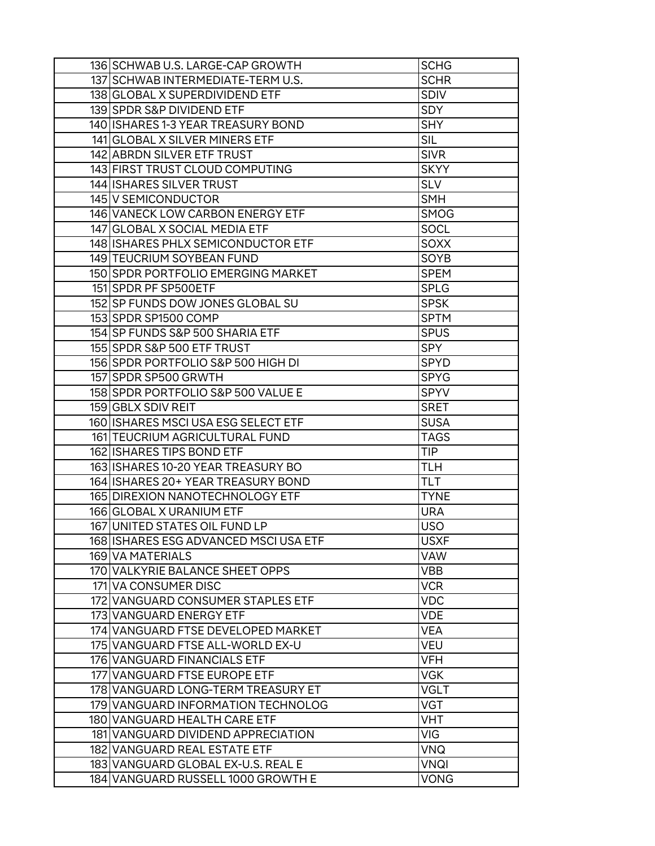| 136 SCHWAB U.S. LARGE-CAP GROWTH      | <b>SCHG</b> |
|---------------------------------------|-------------|
| 137 SCHWAB INTERMEDIATE-TERMU.S.      | <b>SCHR</b> |
| 138 GLOBAL X SUPERDIVIDEND ETF        | <b>SDIV</b> |
| 139 SPDR S&P DIVIDEND ETF             | <b>SDY</b>  |
| 140 ISHARES 1-3 YEAR TREASURY BOND    | <b>SHY</b>  |
| 141 GLOBAL X SILVER MINERS ETF        | <b>SIL</b>  |
| 142 ABRON SILVER ETF TRUST            | <b>SIVR</b> |
| 143 FIRST TRUST CLOUD COMPUTING       | <b>SKYY</b> |
| 144 ISHARES SILVER TRUST              | <b>SLV</b>  |
| 145 V SEMICONDUCTOR                   | <b>SMH</b>  |
| 146 VANECK LOW CARBON ENERGY ETF      | <b>SMOG</b> |
| 147 GLOBAL X SOCIAL MEDIA ETF         | SOCL        |
| 148 ISHARES PHLX SEMICONDUCTOR ETF    | <b>SOXX</b> |
| 149 TEUCRIUM SOYBEAN FUND             | SOYB        |
| 150 SPDR PORTFOLIO EMERGING MARKET    | <b>SPEM</b> |
| 151 SPDR PF SP500ETF                  | <b>SPLG</b> |
| 152 SP FUNDS DOW JONES GLOBAL SU      | <b>SPSK</b> |
| 153 SPDR SP1500 COMP                  | <b>SPTM</b> |
| 154 SP FUNDS S&P 500 SHARIA ETF       | <b>SPUS</b> |
| 155 SPDR S&P 500 ETF TRUST            | <b>SPY</b>  |
| 156 SPDR PORTFOLIO S&P 500 HIGH DI    | <b>SPYD</b> |
| 157 SPDR SP500 GRWTH                  | <b>SPYG</b> |
| 158 SPDR PORTFOLIO S&P 500 VALUE E    | <b>SPYV</b> |
| 159 GBLX SDIV REIT                    | <b>SRET</b> |
| 160 ISHARES MSCI USA ESG SELECT ETF   | <b>SUSA</b> |
| 161 TEUCRIUM AGRICULTURAL FUND        | <b>TAGS</b> |
| 162 ISHARES TIPS BOND ETF             | <b>TIP</b>  |
| 163 ISHARES 10-20 YEAR TREASURY BO    | <b>TLH</b>  |
| 164 ISHARES 20 + YEAR TREASURY BOND   | <b>TLT</b>  |
| 165 DIREXION NANOTECHNOLOGY ETF       | <b>TYNE</b> |
| 166 GLOBAL X URANIUM ETF              | <b>URA</b>  |
| 167 UNITED STATES OIL FUND LP         | <b>USO</b>  |
| 168 ISHARES ESG ADVANCED MSCI USA ETF | <b>USXF</b> |
| 169 VA MATERIALS                      | <b>VAW</b>  |
| 170 VALKYRIE BALANCE SHEET OPPS       | <b>VBB</b>  |
| 171 VA CONSUMER DISC                  | <b>VCR</b>  |
| 172 VANGUARD CONSUMER STAPLES ETF     | <b>VDC</b>  |
| 173 VANGUARD ENERGY ETF               | <b>VDE</b>  |
| 174 VANGUARD FTSE DEVELOPED MARKET    | <b>VEA</b>  |
| 175 VANGUARD FTSE ALL-WORLD EX-U      | <b>VEU</b>  |
| 176 VANGUARD FINANCIALS ETF           | <b>VFH</b>  |
| 177 VANGUARD FTSE EUROPE ETF          | <b>VGK</b>  |
| 178 VANGUARD LONG-TERM TREASURY ET    | <b>VGLT</b> |
| 179 VANGUARD INFORMATION TECHNOLOG    | VGT         |
| 180 VANGUARD HEALTH CARE ETF          | <b>VHT</b>  |
| 181 VANGUARD DIVIDEND APPRECIATION    | VIG         |
| 182 VANGUARD REAL ESTATE ETF          | VNQ         |
| 183 VANGUARD GLOBAL EX-U.S. REAL E    | VNQI        |
| 184 VANGUARD RUSSELL 1000 GROWTH E    | <b>VONG</b> |